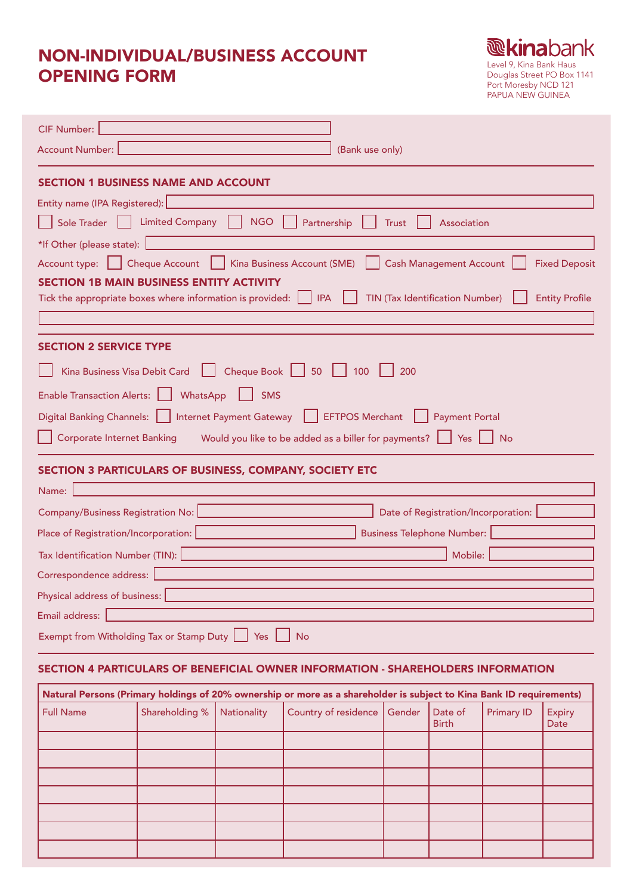# NON-INDIVIDUAL/BUSINESS ACCOUNT OPENING FORM



| <b>CIF Number:</b>                                                                                                                                                                            |
|-----------------------------------------------------------------------------------------------------------------------------------------------------------------------------------------------|
| <b>Account Number:</b><br>(Bank use only)                                                                                                                                                     |
| <b>SECTION 1 BUSINESS NAME AND ACCOUNT</b>                                                                                                                                                    |
| Entity name (IPA Registered):                                                                                                                                                                 |
| <b>Limited Company</b><br><b>NGO</b><br>Sole Trader<br>Partnership<br><b>Trust</b><br>Association                                                                                             |
| *If Other (please state):                                                                                                                                                                     |
| Account type:     Cheque Account<br>Kina Business Account (SME)<br><b>Cash Management Account</b><br><b>Fixed Deposit</b>                                                                     |
| <b>SECTION 1B MAIN BUSINESS ENTITY ACTIVITY</b><br><b>IPA</b><br><b>TIN (Tax Identification Number)</b><br><b>Entity Profile</b><br>Tick the appropriate boxes where information is provided: |
|                                                                                                                                                                                               |
| <b>SECTION 2 SERVICE TYPE</b>                                                                                                                                                                 |
| Cheque Book   50<br>Kina Business Visa Debit Card<br>100<br>200                                                                                                                               |
| Enable Transaction Alerts:    <br>WhatsApp<br><b>SMS</b>                                                                                                                                      |
| Digital Banking Channels:     Internet Payment Gateway<br><b>EFTPOS Merchant</b><br><b>Payment Portal</b>                                                                                     |
| <b>Corporate Internet Banking</b><br>Would you like to be added as a biller for payments?<br>Yes<br><b>No</b>                                                                                 |
| SECTION 3 PARTICULARS OF BUSINESS, COMPANY, SOCIETY ETC                                                                                                                                       |
| Name:                                                                                                                                                                                         |
| Date of Registration/Incorporation:<br><b>Company/Business Registration No:</b>                                                                                                               |
| <b>Business Telephone Number:</b><br>Place of Registration/Incorporation:                                                                                                                     |
| Tax Identification Number (TIN):<br>Mobile:                                                                                                                                                   |
| Correspondence address:                                                                                                                                                                       |
| Physical address of business:                                                                                                                                                                 |
| Email address:                                                                                                                                                                                |
| Exempt from Witholding Tax or Stamp Duty   Yes<br><b>No</b>                                                                                                                                   |
| SECTION 4 PARTICULARS OF BENEFICIAL OWNER INFORMATION - SHAREHOLDERS INFORMATION                                                                                                              |
| Natural Persons (Primary holdings of 20% ownership or more as a shareholder is subject to Kina Bank ID requirements)                                                                          |

| (Primary notation of more as a shareholder is subject to Kina bequirements) In Pequirements (I |                |             |                               |                         |                   |                |
|------------------------------------------------------------------------------------------------|----------------|-------------|-------------------------------|-------------------------|-------------------|----------------|
| <b>Full Name</b>                                                                               | Shareholding % | Nationality | Country of residence   Gender | Date of<br><b>Birth</b> | <b>Primary ID</b> | Expiry<br>Date |
|                                                                                                |                |             |                               |                         |                   |                |
|                                                                                                |                |             |                               |                         |                   |                |
|                                                                                                |                |             |                               |                         |                   |                |
|                                                                                                |                |             |                               |                         |                   |                |
|                                                                                                |                |             |                               |                         |                   |                |
|                                                                                                |                |             |                               |                         |                   |                |
|                                                                                                |                |             |                               |                         |                   |                |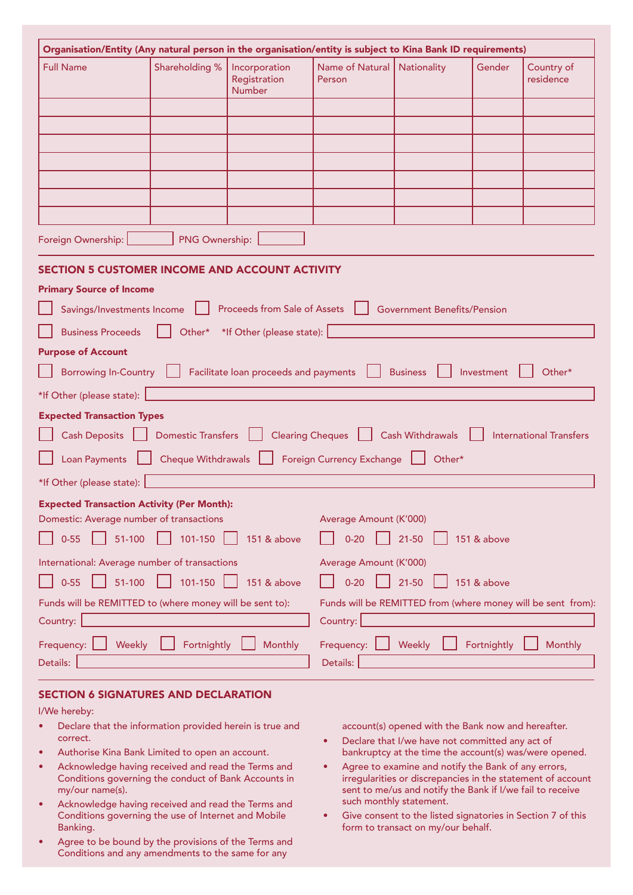| Organisation/Entity (Any natural person in the organisation/entity is subject to Kina Bank ID requirements)                                                     |                |                                                |                           |                                    |            |                         |
|-----------------------------------------------------------------------------------------------------------------------------------------------------------------|----------------|------------------------------------------------|---------------------------|------------------------------------|------------|-------------------------|
| <b>Full Name</b>                                                                                                                                                | Shareholding % | Incorporation<br>Registration<br><b>Number</b> | Name of Natural<br>Person | Nationality                        | Gender     | Country of<br>residence |
|                                                                                                                                                                 |                |                                                |                           |                                    |            |                         |
|                                                                                                                                                                 |                |                                                |                           |                                    |            |                         |
|                                                                                                                                                                 |                |                                                |                           |                                    |            |                         |
|                                                                                                                                                                 |                |                                                |                           |                                    |            |                         |
|                                                                                                                                                                 |                |                                                |                           |                                    |            |                         |
| Foreign Ownership:                                                                                                                                              | PNG Ownership: |                                                |                           |                                    |            |                         |
| <b>SECTION 5 CUSTOMER INCOME AND ACCOUNT ACTIVITY</b>                                                                                                           |                |                                                |                           |                                    |            |                         |
| <b>Primary Source of Income</b>                                                                                                                                 |                |                                                |                           |                                    |            |                         |
| Savings/Investments Income                                                                                                                                      |                | Proceeds from Sale of Assets                   |                           | <b>Government Benefits/Pension</b> |            |                         |
| <b>Business Proceeds</b>                                                                                                                                        | Other*         | *If Other (please state):                      |                           |                                    |            |                         |
| <b>Purpose of Account</b>                                                                                                                                       |                |                                                |                           |                                    |            |                         |
| <b>Borrowing In-Country</b>                                                                                                                                     |                | Facilitate loan proceeds and payments          |                           | <b>Business</b>                    | Investment | Other*                  |
| *If Other (please state):                                                                                                                                       |                |                                                |                           |                                    |            |                         |
| <b>Expected Transaction Types</b>                                                                                                                               |                |                                                |                           |                                    |            |                         |
| <b>Cash Withdrawals</b><br><b>Cash Deposits</b><br><b>Domestic Transfers</b><br><b>Clearing Cheques</b><br><b>International Transfers</b>                       |                |                                                |                           |                                    |            |                         |
| <b>Loan Payments</b><br>Cheque Withdrawals<br><b>Foreign Currency Exchange</b><br>Other*                                                                        |                |                                                |                           |                                    |            |                         |
| *If Other (please state):                                                                                                                                       |                |                                                |                           |                                    |            |                         |
| <b>Expected Transaction Activity (Per Month):</b>                                                                                                               |                |                                                |                           |                                    |            |                         |
| Domestic: Average number of transactions<br>Average Amount (K'000)<br>$0 - 55$<br>51-100<br>101-150<br>$0 - 20$<br>$21 - 50$<br>151 & above<br>151 & above      |                |                                                |                           |                                    |            |                         |
|                                                                                                                                                                 |                |                                                |                           |                                    |            |                         |
| International: Average number of transactions<br>Average Amount (K'000)<br>101-150<br>$0 - 55$<br>51-100<br>$21 - 50$<br>151 & above<br>151 & above<br>$0 - 20$ |                |                                                |                           |                                    |            |                         |
| Funds will be REMITTED to (where money will be sent to):<br>Funds will be REMITTED from (where money will be sent from):                                        |                |                                                |                           |                                    |            |                         |
| Country:                                                                                                                                                        | Country:       |                                                |                           |                                    |            |                         |
| Fortnightly<br>Frequency:<br>Weekly<br>Fortnightly<br>Monthly<br>Frequency:<br>Weekly<br>Monthly                                                                |                |                                                |                           |                                    |            |                         |
| Details:                                                                                                                                                        |                |                                                | Details:                  |                                    |            |                         |

# SECTION 6 SIGNATURES AND DECLARATION

I/We hereby:

- Declare that the information provided herein is true and correct.
- Authorise Kina Bank Limited to open an account.
- Acknowledge having received and read the Terms and Conditions governing the conduct of Bank Accounts in my/our name(s).
- Acknowledge having received and read the Terms and Conditions governing the use of Internet and Mobile Banking.
- Agree to be bound by the provisions of the Terms and Conditions and any amendments to the same for any

account(s) opened with the Bank now and hereafter.

- Declare that I/we have not committed any act of bankruptcy at the time the account(s) was/were opened.
- Agree to examine and notify the Bank of any errors, irregularities or discrepancies in the statement of account sent to me/us and notify the Bank if I/we fail to receive such monthly statement.
- Give consent to the listed signatories in Section 7 of this form to transact on my/our behalf.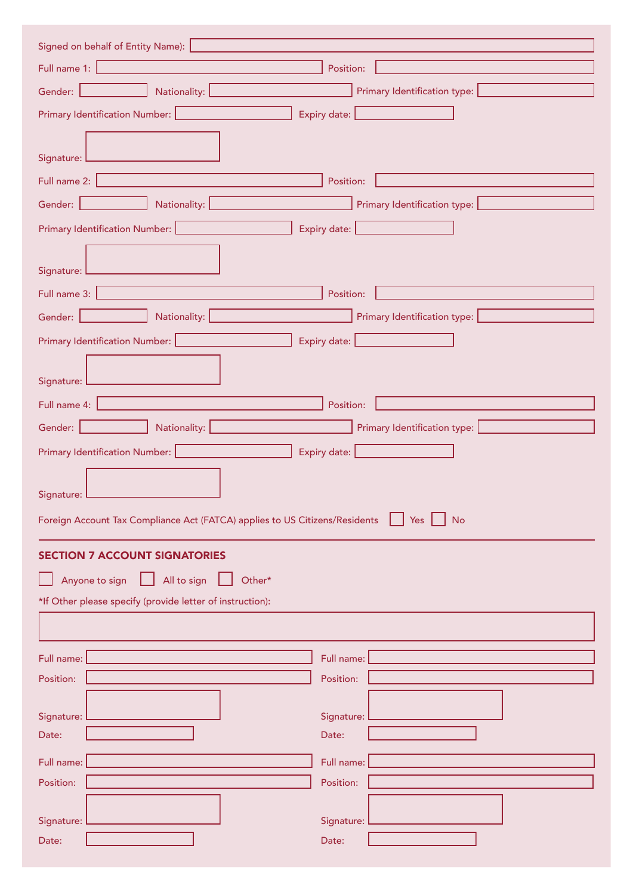| Signed on behalf of Entity Name):                                                                                                                  |  |
|----------------------------------------------------------------------------------------------------------------------------------------------------|--|
| <b>Full name 1: Example 2: Example 2: Example 2: Example 2: Example 2: Example 2: Example 2: Example 2:</b><br>Position:                           |  |
| Gender: New York 1999<br>Primary Identification type:<br>Nationality: Nationality:                                                                 |  |
| Primary Identification Number: 2008<br>Expiry date: <u>contracts</u>                                                                               |  |
|                                                                                                                                                    |  |
| Signature: L                                                                                                                                       |  |
| Full name 2: <b>Full name</b> 2:<br>Position:                                                                                                      |  |
| Nationality: <u>Nationality:</u><br>Primary Identification type: <b>Marken</b><br>Gender:                                                          |  |
| Primary Identification Number: <b>Name of American Contract Control</b><br>Expiry date: <u>contracts</u>                                           |  |
|                                                                                                                                                    |  |
| Signature: L                                                                                                                                       |  |
| Position:<br>Full name 3: <b>Full name</b> 3:                                                                                                      |  |
| Nationality: L<br>Primary Identification type:<br>Gender:                                                                                          |  |
| Primary Identification Number:   The Management of Primary Identification Number:   The Management of Primar I<br>Expiry date: <b>Expiry date:</b> |  |
|                                                                                                                                                    |  |
| Signature: L                                                                                                                                       |  |
| Position:<br>Full name 4:                                                                                                                          |  |
| Nationality: National Material<br>Gender:                                                                                                          |  |
| Expiry date: <u>New York (New York)</u>                                                                                                            |  |
|                                                                                                                                                    |  |
| Signature: L                                                                                                                                       |  |
| Foreign Account Tax Compliance Act (FATCA) applies to US Citizens/Residents<br><b>No</b><br>Yes $\vert$                                            |  |
|                                                                                                                                                    |  |
| <b>SECTION 7 ACCOUNT SIGNATORIES</b>                                                                                                               |  |
| Other*<br>All to sign<br>Anyone to sign                                                                                                            |  |
| *If Other please specify (provide letter of instruction):                                                                                          |  |
|                                                                                                                                                    |  |
| Full name:<br>Full name:                                                                                                                           |  |
| Position:<br>Position:                                                                                                                             |  |
|                                                                                                                                                    |  |
| Signature:<br>Signature:<br>Date:<br>Date:                                                                                                         |  |
|                                                                                                                                                    |  |
| Full name:<br>Full name:                                                                                                                           |  |
| Position:<br>Position:                                                                                                                             |  |
|                                                                                                                                                    |  |
| Signature:<br>Signature:                                                                                                                           |  |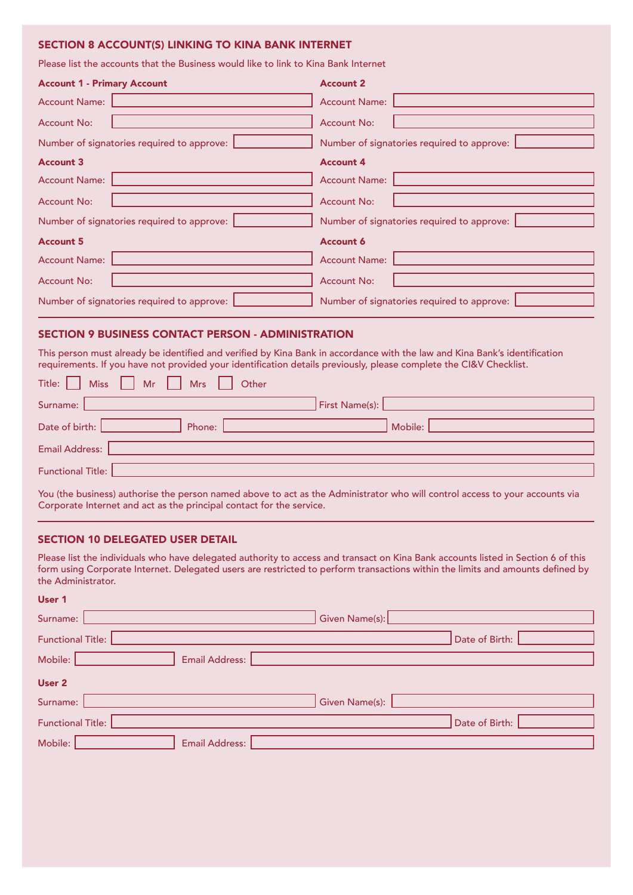# SECTION 8 ACCOUNT(S) LINKING TO KINA BANK INTERNET

Please list the accounts that the Business would like to link to Kina Bank Internet

| <b>Account 1 - Primary Account</b>         | <b>Account 2</b>                           |
|--------------------------------------------|--------------------------------------------|
| <b>Account Name:</b>                       | <b>Account Name:</b>                       |
| <b>Account No:</b>                         | <b>Account No:</b>                         |
| Number of signatories required to approve: | Number of signatories required to approve: |
| <b>Account 3</b>                           | <b>Account 4</b>                           |
| <b>Account Name:</b>                       | <b>Account Name:</b>                       |
| <b>Account No:</b>                         | <b>Account No:</b>                         |
| Number of signatories required to approve: | Number of signatories required to approve: |
| <b>Account 5</b>                           | <b>Account 6</b>                           |
| <b>Account Name:</b>                       | <b>Account Name:</b>                       |
| <b>Account No:</b>                         | <b>Account No:</b>                         |
| Number of signatories required to approve: | Number of signatories required to approve: |

# SECTION 9 BUSINESS CONTACT PERSON - ADMINISTRATION

This person must already be identified and verified by Kina Bank in accordance with the law and Kina Bank's identification requirements. If you have not provided your identification details previously, please complete the CI&V Checklist.

| Title:     Miss     Mr     Mrs     Other |                     |
|------------------------------------------|---------------------|
| Surname:                                 | First Name(s): 2008 |
| Date of birth:<br>Phone:                 | Mobile:             |
| Email Address:                           |                     |
| Functional Title:                        |                     |

You (the business) authorise the person named above to act as the Administrator who will control access to your accounts via Corporate Internet and act as the principal contact for the service.

# SECTION 10 DELEGATED USER DETAIL

User 1

Please list the individuals who have delegated authority to access and transact on Kina Bank accounts listed in Section 6 of this form using Corporate Internet. Delegated users are restricted to perform transactions within the limits and amounts defined by the Administrator.

| USCI I                    |                |
|---------------------------|----------------|
| Surname:                  | Given Name(s): |
| <b>Functional Title:</b>  | Date of Birth: |
| Email Address:<br>Mobile: |                |
| User 2                    |                |
| Surname:                  | Given Name(s): |
| <b>Functional Title:</b>  | Date of Birth: |
| Email Address:<br>Mobile: |                |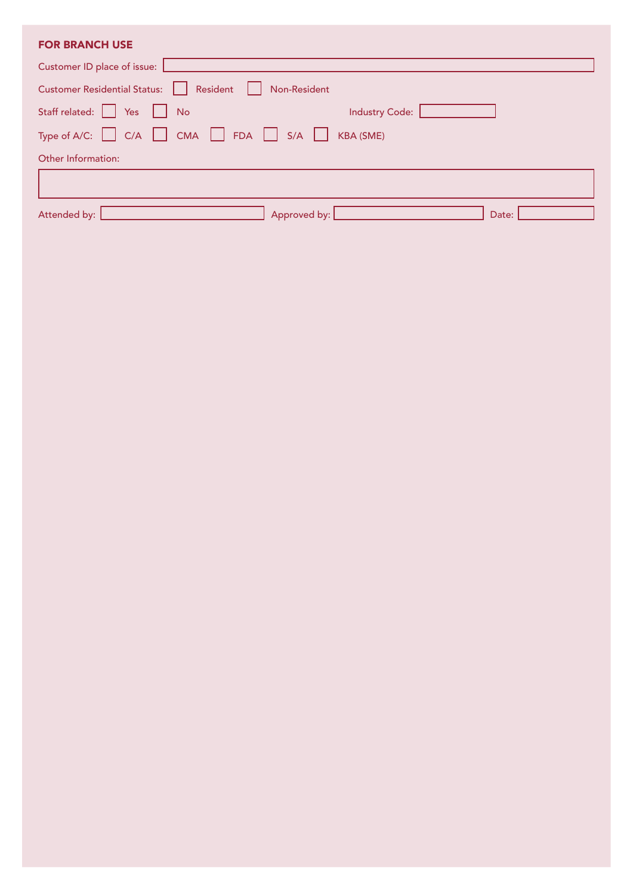| <b>FOR BRANCH USE</b>                                                     |       |
|---------------------------------------------------------------------------|-------|
| Customer ID place of issue:                                               |       |
| Customer Residential Status: Resident Non-Resident                        |       |
| Staff related: Staff related: Staff related:<br>Industry Code:            |       |
| Type of A/C: $\Box$ C/A $\Box$ CMA $\Box$ FDA $\Box$ S/A $\Box$ KBA (SME) |       |
| Other Information:                                                        |       |
|                                                                           |       |
| Attended by:<br>Approved by:                                              | Date: |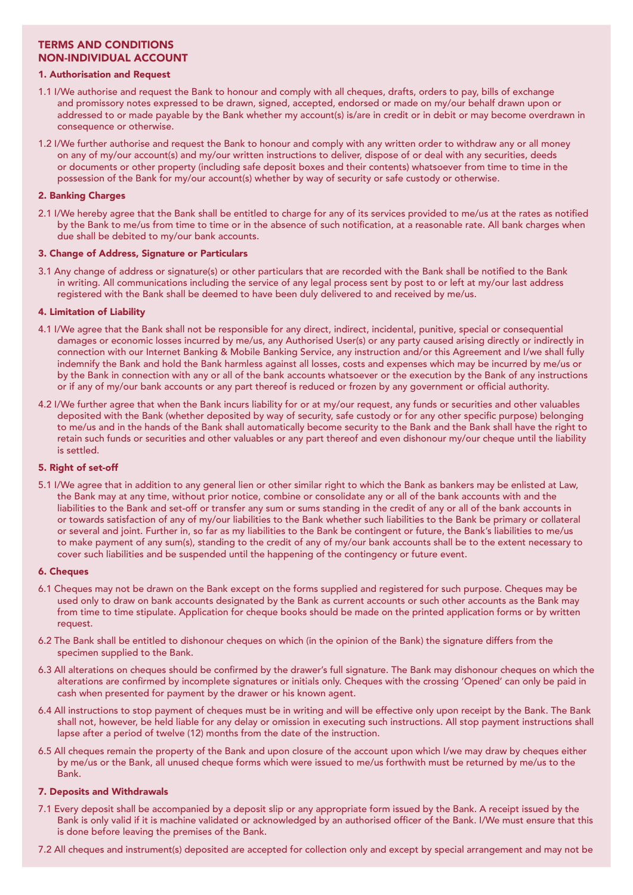# TERMS AND CONDITIONS NON-INDIVIDUAL ACCOUNT

## 1. Authorisation and Request

- 1.1 I/We authorise and request the Bank to honour and comply with all cheques, drafts, orders to pay, bills of exchange and promissory notes expressed to be drawn, signed, accepted, endorsed or made on my/our behalf drawn upon or addressed to or made payable by the Bank whether my account(s) is/are in credit or in debit or may become overdrawn in consequence or otherwise.
- 1.2 I/We further authorise and request the Bank to honour and comply with any written order to withdraw any or all money on any of my/our account(s) and my/our written instructions to deliver, dispose of or deal with any securities, deeds or documents or other property (including safe deposit boxes and their contents) whatsoever from time to time in the possession of the Bank for my/our account(s) whether by way of security or safe custody or otherwise.

# 2. Banking Charges

2.1 I/We hereby agree that the Bank shall be entitled to charge for any of its services provided to me/us at the rates as notified by the Bank to me/us from time to time or in the absence of such notification, at a reasonable rate. All bank charges when due shall be debited to my/our bank accounts.

## 3. Change of Address, Signature or Particulars

3.1 Any change of address or signature(s) or other particulars that are recorded with the Bank shall be notified to the Bank in writing. All communications including the service of any legal process sent by post to or left at my/our last address registered with the Bank shall be deemed to have been duly delivered to and received by me/us.

## 4. Limitation of Liability

- 4.1 I/We agree that the Bank shall not be responsible for any direct, indirect, incidental, punitive, special or consequential damages or economic losses incurred by me/us, any Authorised User(s) or any party caused arising directly or indirectly in connection with our Internet Banking & Mobile Banking Service, any instruction and/or this Agreement and I/we shall fully indemnify the Bank and hold the Bank harmless against all losses, costs and expenses which may be incurred by me/us or by the Bank in connection with any or all of the bank accounts whatsoever or the execution by the Bank of any instructions or if any of my/our bank accounts or any part thereof is reduced or frozen by any government or official authority.
- 4.2 I/We further agree that when the Bank incurs liability for or at my/our request, any funds or securities and other valuables deposited with the Bank (whether deposited by way of security, safe custody or for any other specific purpose) belonging to me/us and in the hands of the Bank shall automatically become security to the Bank and the Bank shall have the right to retain such funds or securities and other valuables or any part thereof and even dishonour my/our cheque until the liability is settled.

## 5. Right of set-off

5.1 I/We agree that in addition to any general lien or other similar right to which the Bank as bankers may be enlisted at Law, the Bank may at any time, without prior notice, combine or consolidate any or all of the bank accounts with and the liabilities to the Bank and set-off or transfer any sum or sums standing in the credit of any or all of the bank accounts in or towards satisfaction of any of my/our liabilities to the Bank whether such liabilities to the Bank be primary or collateral or several and joint. Further in, so far as my liabilities to the Bank be contingent or future, the Bank's liabilities to me/us to make payment of any sum(s), standing to the credit of any of my/our bank accounts shall be to the extent necessary to cover such liabilities and be suspended until the happening of the contingency or future event.

## 6. Cheques

- 6.1 Cheques may not be drawn on the Bank except on the forms supplied and registered for such purpose. Cheques may be used only to draw on bank accounts designated by the Bank as current accounts or such other accounts as the Bank may from time to time stipulate. Application for cheque books should be made on the printed application forms or by written request.
- 6.2 The Bank shall be entitled to dishonour cheques on which (in the opinion of the Bank) the signature differs from the specimen supplied to the Bank.
- 6.3 All alterations on cheques should be confirmed by the drawer's full signature. The Bank may dishonour cheques on which the alterations are confirmed by incomplete signatures or initials only. Cheques with the crossing 'Opened' can only be paid in cash when presented for payment by the drawer or his known agent.
- 6.4 All instructions to stop payment of cheques must be in writing and will be effective only upon receipt by the Bank. The Bank shall not, however, be held liable for any delay or omission in executing such instructions. All stop payment instructions shall lapse after a period of twelve (12) months from the date of the instruction.
- 6.5 All cheques remain the property of the Bank and upon closure of the account upon which I/we may draw by cheques either by me/us or the Bank, all unused cheque forms which were issued to me/us forthwith must be returned by me/us to the Bank.

# 7. Deposits and Withdrawals

- 7.1 Every deposit shall be accompanied by a deposit slip or any appropriate form issued by the Bank. A receipt issued by the Bank is only valid if it is machine validated or acknowledged by an authorised officer of the Bank. I/We must ensure that this is done before leaving the premises of the Bank.
- 7.2 All cheques and instrument(s) deposited are accepted for collection only and except by special arrangement and may not be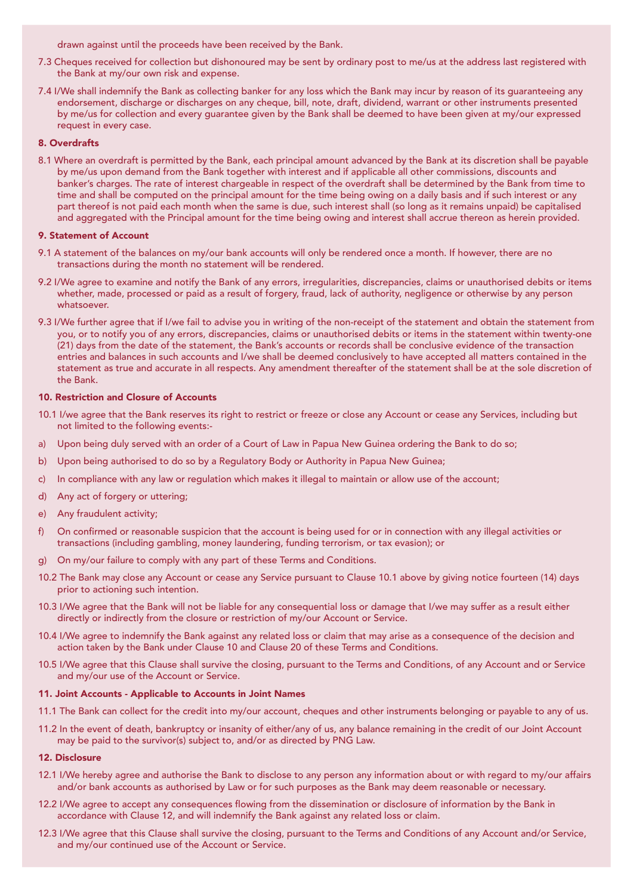drawn against until the proceeds have been received by the Bank.

- 7.3 Cheques received for collection but dishonoured may be sent by ordinary post to me/us at the address last registered with the Bank at my/our own risk and expense.
- 7.4 I/We shall indemnify the Bank as collecting banker for any loss which the Bank may incur by reason of its guaranteeing any endorsement, discharge or discharges on any cheque, bill, note, draft, dividend, warrant or other instruments presented by me/us for collection and every guarantee given by the Bank shall be deemed to have been given at my/our expressed request in every case.

## 8. Overdrafts

8.1 Where an overdraft is permitted by the Bank, each principal amount advanced by the Bank at its discretion shall be payable by me/us upon demand from the Bank together with interest and if applicable all other commissions, discounts and banker's charges. The rate of interest chargeable in respect of the overdraft shall be determined by the Bank from time to time and shall be computed on the principal amount for the time being owing on a daily basis and if such interest or any part thereof is not paid each month when the same is due, such interest shall (so long as it remains unpaid) be capitalised and aggregated with the Principal amount for the time being owing and interest shall accrue thereon as herein provided.

## 9. Statement of Account

- 9.1 A statement of the balances on my/our bank accounts will only be rendered once a month. If however, there are no transactions during the month no statement will be rendered.
- 9.2 I/We agree to examine and notify the Bank of any errors, irregularities, discrepancies, claims or unauthorised debits or items whether, made, processed or paid as a result of forgery, fraud, lack of authority, negligence or otherwise by any person whatsoever.
- 9.3 I/We further agree that if I/we fail to advise you in writing of the non-receipt of the statement and obtain the statement from you, or to notify you of any errors, discrepancies, claims or unauthorised debits or items in the statement within twenty-one (21) days from the date of the statement, the Bank's accounts or records shall be conclusive evidence of the transaction entries and balances in such accounts and I/we shall be deemed conclusively to have accepted all matters contained in the statement as true and accurate in all respects. Any amendment thereafter of the statement shall be at the sole discretion of the Bank.

## 10. Restriction and Closure of Accounts

- 10.1 I/we agree that the Bank reserves its right to restrict or freeze or close any Account or cease any Services, including but not limited to the following events:-
- a) Upon being duly served with an order of a Court of Law in Papua New Guinea ordering the Bank to do so;
- b) Upon being authorised to do so by a Regulatory Body or Authority in Papua New Guinea;
- c) In compliance with any law or regulation which makes it illegal to maintain or allow use of the account;
- d) Any act of forgery or uttering;
- e) Any fraudulent activity;
- f) On confirmed or reasonable suspicion that the account is being used for or in connection with any illegal activities or transactions (including gambling, money laundering, funding terrorism, or tax evasion); or
- g) On my/our failure to comply with any part of these Terms and Conditions.
- 10.2 The Bank may close any Account or cease any Service pursuant to Clause 10.1 above by giving notice fourteen (14) days prior to actioning such intention.
- 10.3 I/We agree that the Bank will not be liable for any consequential loss or damage that I/we may suffer as a result either directly or indirectly from the closure or restriction of my/our Account or Service.
- 10.4 I/We agree to indemnify the Bank against any related loss or claim that may arise as a consequence of the decision and action taken by the Bank under Clause 10 and Clause 20 of these Terms and Conditions.
- 10.5 I/We agree that this Clause shall survive the closing, pursuant to the Terms and Conditions, of any Account and or Service and my/our use of the Account or Service.

#### 11. Joint Accounts - Applicable to Accounts in Joint Names

- 11.1 The Bank can collect for the credit into my/our account, cheques and other instruments belonging or payable to any of us.
- 11.2 In the event of death, bankruptcy or insanity of either/any of us, any balance remaining in the credit of our Joint Account may be paid to the survivor(s) subject to, and/or as directed by PNG Law.

#### 12. Disclosure

- 12.1 I/We hereby agree and authorise the Bank to disclose to any person any information about or with regard to my/our affairs and/or bank accounts as authorised by Law or for such purposes as the Bank may deem reasonable or necessary.
- 12.2 I/We agree to accept any consequences flowing from the dissemination or disclosure of information by the Bank in accordance with Clause 12, and will indemnify the Bank against any related loss or claim.
- 12.3 I/We agree that this Clause shall survive the closing, pursuant to the Terms and Conditions of any Account and/or Service, and my/our continued use of the Account or Service.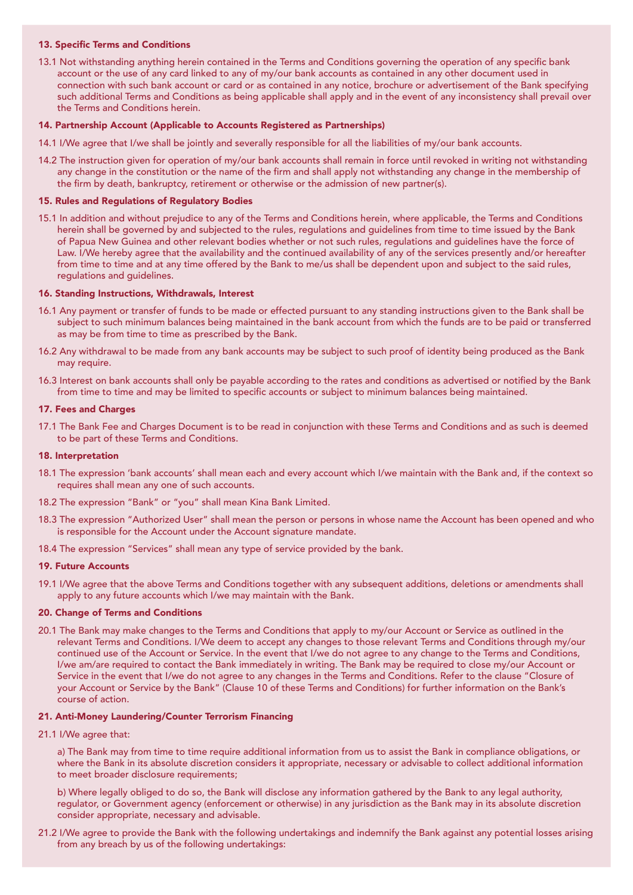## 13. Specific Terms and Conditions

13.1 Not withstanding anything herein contained in the Terms and Conditions governing the operation of any specific bank account or the use of any card linked to any of my/our bank accounts as contained in any other document used in connection with such bank account or card or as contained in any notice, brochure or advertisement of the Bank specifying such additional Terms and Conditions as being applicable shall apply and in the event of any inconsistency shall prevail over the Terms and Conditions herein.

#### 14. Partnership Account (Applicable to Accounts Registered as Partnerships)

- 14.1 I/We agree that I/we shall be jointly and severally responsible for all the liabilities of my/our bank accounts.
- 14.2 The instruction given for operation of my/our bank accounts shall remain in force until revoked in writing not withstanding any change in the constitution or the name of the firm and shall apply not withstanding any change in the membership of the firm by death, bankruptcy, retirement or otherwise or the admission of new partner(s).

#### 15. Rules and Regulations of Regulatory Bodies

15.1 In addition and without prejudice to any of the Terms and Conditions herein, where applicable, the Terms and Conditions herein shall be governed by and subjected to the rules, regulations and guidelines from time to time issued by the Bank of Papua New Guinea and other relevant bodies whether or not such rules, regulations and guidelines have the force of Law. I/We hereby agree that the availability and the continued availability of any of the services presently and/or hereafter from time to time and at any time offered by the Bank to me/us shall be dependent upon and subject to the said rules, regulations and guidelines.

#### 16. Standing Instructions, Withdrawals, Interest

- 16.1 Any payment or transfer of funds to be made or effected pursuant to any standing instructions given to the Bank shall be subject to such minimum balances being maintained in the bank account from which the funds are to be paid or transferred as may be from time to time as prescribed by the Bank.
- 16.2 Any withdrawal to be made from any bank accounts may be subject to such proof of identity being produced as the Bank may require.
- 16.3 Interest on bank accounts shall only be payable according to the rates and conditions as advertised or notified by the Bank from time to time and may be limited to specific accounts or subject to minimum balances being maintained.

#### 17. Fees and Charges

17.1 The Bank Fee and Charges Document is to be read in conjunction with these Terms and Conditions and as such is deemed to be part of these Terms and Conditions.

#### 18. Interpretation

- 18.1 The expression 'bank accounts' shall mean each and every account which I/we maintain with the Bank and, if the context so requires shall mean any one of such accounts.
- 18.2 The expression "Bank" or "you" shall mean Kina Bank Limited.
- 18.3 The expression "Authorized User" shall mean the person or persons in whose name the Account has been opened and who is responsible for the Account under the Account signature mandate.
- 18.4 The expression "Services" shall mean any type of service provided by the bank.

#### 19. Future Accounts

19.1 I/We agree that the above Terms and Conditions together with any subsequent additions, deletions or amendments shall apply to any future accounts which I/we may maintain with the Bank.

#### 20. Change of Terms and Conditions

20.1 The Bank may make changes to the Terms and Conditions that apply to my/our Account or Service as outlined in the relevant Terms and Conditions. I/We deem to accept any changes to those relevant Terms and Conditions through my/our continued use of the Account or Service. In the event that I/we do not agree to any change to the Terms and Conditions, I/we am/are required to contact the Bank immediately in writing. The Bank may be required to close my/our Account or Service in the event that I/we do not agree to any changes in the Terms and Conditions. Refer to the clause "Closure of your Account or Service by the Bank" (Clause 10 of these Terms and Conditions) for further information on the Bank's course of action.

#### 21. Anti-Money Laundering/Counter Terrorism Financing

21.1 I/We agree that:

a) The Bank may from time to time require additional information from us to assist the Bank in compliance obligations, or where the Bank in its absolute discretion considers it appropriate, necessary or advisable to collect additional information to meet broader disclosure requirements;

b) Where legally obliged to do so, the Bank will disclose any information gathered by the Bank to any legal authority, regulator, or Government agency (enforcement or otherwise) in any jurisdiction as the Bank may in its absolute discretion consider appropriate, necessary and advisable.

21.2 I/We agree to provide the Bank with the following undertakings and indemnify the Bank against any potential losses arising from any breach by us of the following undertakings: